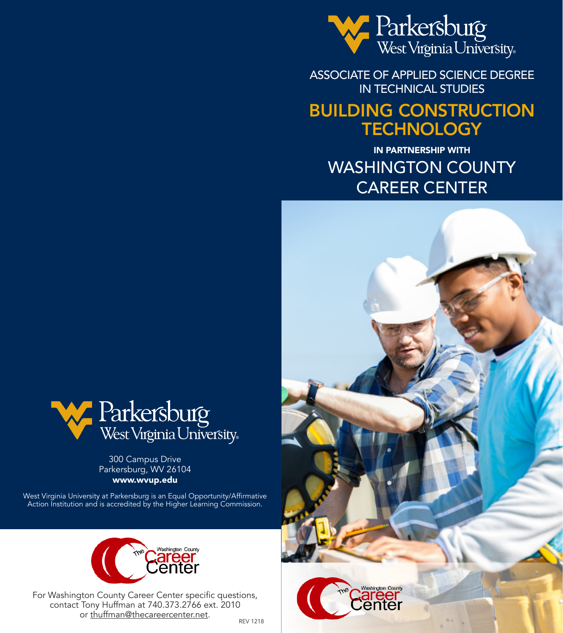

ASSOCIATE OF APPLIED SCIENCE DEGREE IN TECHNICAL STUDIES

# BUILDING CONSTRUCTION **TECHNOLOGY**

IN PARTNERSHIP WITH WASHINGTON COUNTY CAREER CENTER





300 Campus Drive Parkersburg, WV 26104 www.wvup.edu

West Virginia University at Parkersburg is an Equal Opportunity/Affirmative Action Institution and is accredited by the Higher Learning Commission.



For Washington County Career Center specific questions, contact Tony Huffman at 740.373.2766 ext. 2010 or thuffman@thecareercenter.net.